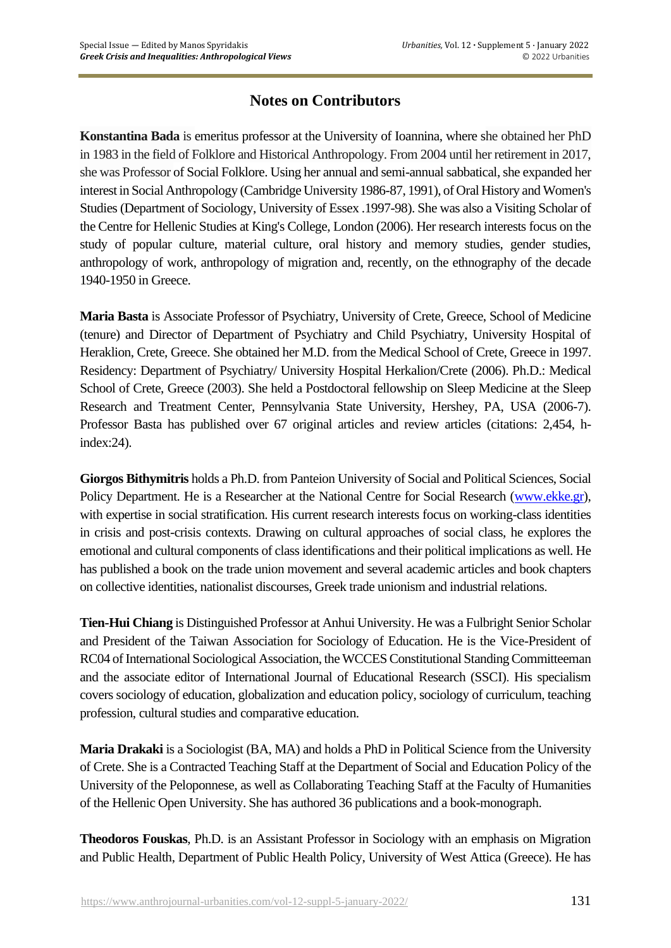## **Notes on Contributors**

**Konstantina Bada** is emeritus professor at the University of Ioannina, where she obtained her PhD in 1983 in the field of Folklore and Historical Anthropology. From 2004 until her retirement in 2017, she was Professor of Social Folklore. Using her annual and semi-annual sabbatical, she expanded her interest in Social Anthropology (Cambridge University 1986-87, 1991), of Oral History and Women's Studies (Department of Sociology, University of Essex .1997-98). She was also a Visiting Scholar of the Centre for Hellenic Studies at King's College, London (2006). Her research interests focus on the study of popular culture, material culture, oral history and memory studies, gender studies, anthropology of work, anthropology of migration and, recently, on the ethnography of the decade 1940-1950 in Greece.

**Maria Basta** is Associate Professor of Psychiatry, University of Crete, Greece, School of Medicine (tenure) and Director of Department of Psychiatry and Child Psychiatry, University Hospital of Heraklion, Crete, Greece. She obtained her M.D. from the Medical School of Crete, Greece in 1997. Residency: Department of Psychiatry/ University Hospital Herkalion/Crete (2006). Ph.D.: Medical School of Crete, Greece (2003). She held a Postdoctoral fellowship on Sleep Medicine at the Sleep Research and Treatment Center, Pennsylvania State University, Hershey, PA, USA (2006-7). Professor Basta has published over 67 original articles and review articles (citations: 2,454, hindex:24).

**Giorgos Bithymitris** holds a Ph.D. from Panteion University of Social and Political Sciences, Social Policy Department. He is a Researcher at the National Centre for Social Research [\(www.ekke.gr\)](http://www.ekke.gr/), with expertise in social stratification. His current research interests focus on working-class identities in crisis and post-crisis contexts. Drawing on cultural approaches of social class, he explores the emotional and cultural components of class identifications and their political implications as well. He has published a book on the trade union movement and several academic articles and book chapters on collective identities, nationalist discourses, Greek trade unionism and industrial relations.

**Tien-Hui Chiang** is Distinguished Professor at Anhui University. He was a Fulbright Senior Scholar and President of the Taiwan Association for Sociology of Education. He is the Vice-President of RC04 of International Sociological Association, the WCCES Constitutional Standing Committeeman and the associate editor of International Journal of Educational Research (SSCI). His specialism covers sociology of education, globalization and education policy, sociology of curriculum, teaching profession, cultural studies and comparative education.

**Maria Drakaki** is a Sociologist (BA, MA) and holds a PhD in Political Science from the University of Crete. She is a Contracted Teaching Staff at the Department of Social and Education Policy of the University of the Peloponnese, as well as Collaborating Teaching Staff at the Faculty of Humanities of the Hellenic Open University. She has authored 36 publications and a book-monograph.

**Theodoros Fouskas**, Ph.D. is an Assistant Professor in Sociology with an emphasis on Migration and Public Health, Department of Public Health Policy, University of West Attica (Greece). He has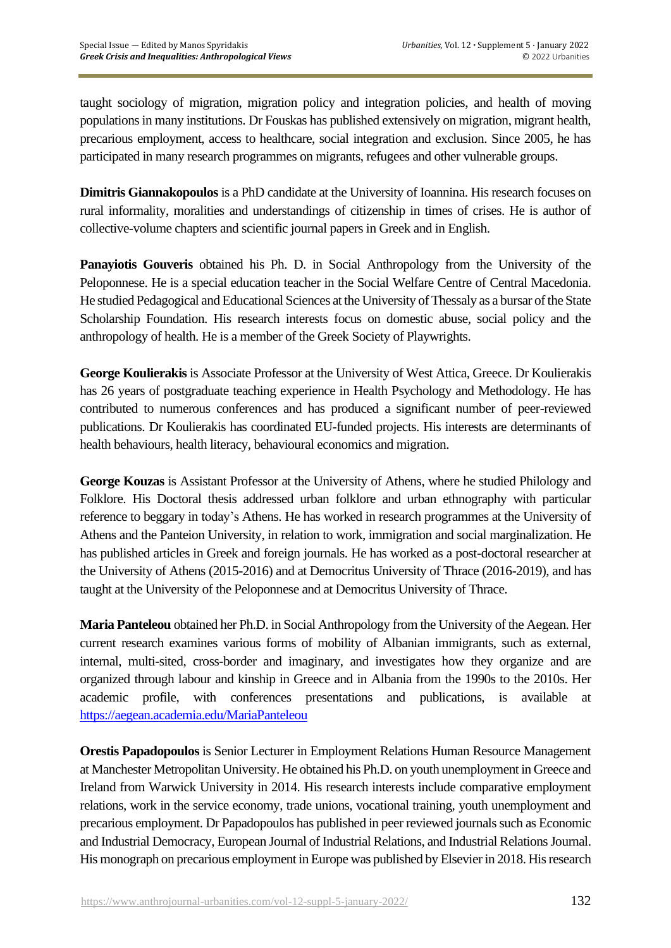taught sociology of migration, migration policy and integration policies, and health of moving populations in many institutions. Dr Fouskas has published extensively on migration, migrant health, precarious employment, access to healthcare, social integration and exclusion. Since 2005, he has participated in many research programmes on migrants, refugees and other vulnerable groups.

**Dimitris Giannakopoulos** is a PhD candidate at the University of Ioannina. His research focuses on rural informality, moralities and understandings of citizenship in times of crises. He is author of collective-volume chapters and scientific journal papers in Greek and in English.

**Panayiotis Gouveris** obtained his Ph. D. in Social Anthropology from the University of the Peloponnese. He is a special education teacher in the Social Welfare Centre of Central Macedonia. He studied Pedagogical and Educational Sciences at the University of Thessaly as a bursar of the State Scholarship Foundation. His research interests focus on domestic abuse, social policy and the anthropology of health. He is a member of the Greek Society of Playwrights.

**George Koulierakis** is Associate Professor at the University of West Attica, Greece. Dr Koulierakis has 26 years of postgraduate teaching experience in Health Psychology and Methodology. He has contributed to numerous conferences and has produced a significant number of peer-reviewed publications. Dr Koulierakis has coordinated EU-funded projects. His interests are determinants of health behaviours, health literacy, behavioural economics and migration.

**George Kouzas** is Assistant Professor at the University of Athens, where he studied Philology and Folklore. His Doctoral thesis addressed urban folklore and urban ethnography with particular reference to beggary in today's Athens. He has worked in research programmes at the University of Athens and the Panteion University, in relation to work, immigration and social marginalization. He has published articles in Greek and foreign journals. He has worked as a post-doctoral researcher at the University of Athens (2015-2016) and at Democritus University of Thrace (2016-2019), and has taught at the University of the Peloponnese and at Democritus University of Thrace.

**Maria Panteleou** obtained her Ph.D. in Social Anthropology from the University of the Aegean. Her current research examines various forms of mobility of Albanian immigrants, such as external, internal, multi-sited, cross-border and imaginary, and investigates how they organize and are organized through labour and kinship in Greece and in Albania from the 1990s to the 2010s. Her academic profile, with conferences presentations and publications, is available at <https://aegean.academia.edu/MariaPanteleou>

**Orestis Papadopoulos** is Senior Lecturer in Employment Relations Human Resource Management at Manchester Metropolitan University. He obtained his Ph.D. on youth unemployment in Greece and Ireland from Warwick University in 2014. His research interests include comparative employment relations, work in the service economy, trade unions, vocational training, youth unemployment and precarious employment. Dr Papadopoulos has published in peer reviewed journals such as Economic and Industrial Democracy, European Journal of Industrial Relations, and Industrial Relations Journal. His monograph on precarious employment in Europe was published by Elsevier in 2018. His research